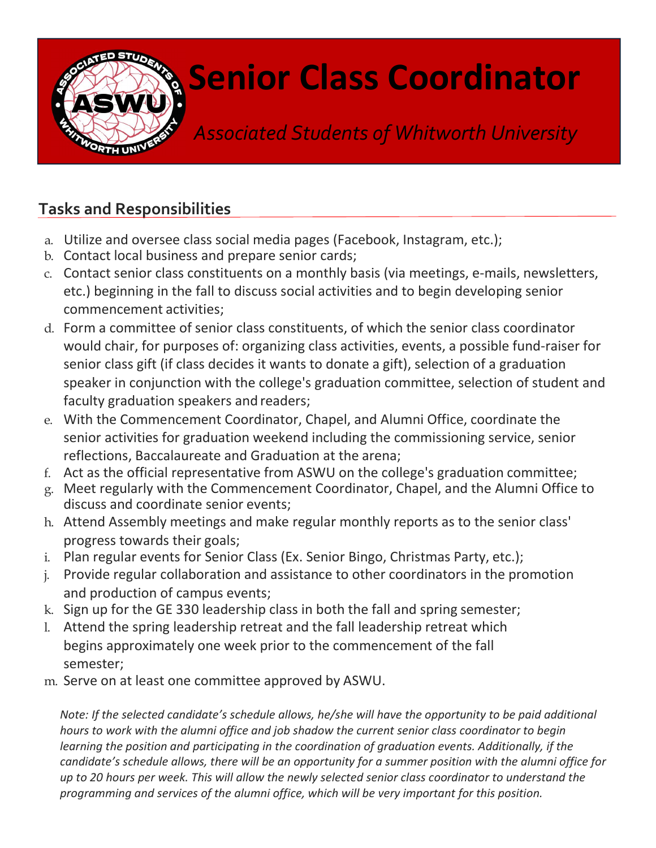

## Senior Class Coordinator

Associated Students of Whitworth University

## Tasks and Responsibilities

- a. Utilize and oversee class social media pages (Facebook, Instagram, etc.);
- b. Contact local business and prepare senior cards;
- c. Contact senior class constituents on a monthly basis (via meetings, e-mails, newsletters, etc.) beginning in the fall to discuss social activities and to begin developing senior commencement activities;
- d. Form a committee of senior class constituents, of which the senior class coordinator would chair, for purposes of: organizing class activities, events, a possible fund-raiser for senior class gift (if class decides it wants to donate a gift), selection of a graduation speaker in conjunction with the college's graduation committee, selection of student and faculty graduation speakers and readers;
- e. With the Commencement Coordinator, Chapel, and Alumni Office, coordinate the senior activities for graduation weekend including the commissioning service, senior reflections, Baccalaureate and Graduation at the arena;
- f. Act as the official representative from ASWU on the college's graduation committee;
- g. Meet regularly with the Commencement Coordinator, Chapel, and the Alumni Office to discuss and coordinate senior events;
- h. Attend Assembly meetings and make regular monthly reports as to the senior class' progress towards their goals;
- i. Plan regular events for Senior Class (Ex. Senior Bingo, Christmas Party, etc.);
- j. Provide regular collaboration and assistance to other coordinators in the promotion and production of campus events;
- k. Sign up for the GE 330 leadership class in both the fall and spring semester;
- l. Attend the spring leadership retreat and the fall leadership retreat which begins approximately one week prior to the commencement of the fall semester;
- m. Serve on at least one committee approved by ASWU.

Note: If the selected candidate's schedule allows, he/she will have the opportunity to be paid additional hours to work with the alumni office and job shadow the current senior class coordinator to begin learning the position and participating in the coordination of graduation events. Additionally, if the candidate's schedule allows, there will be an opportunity for a summer position with the alumni office for up to 20 hours per week. This will allow the newly selected senior class coordinator to understand the programming and services of the alumni office, which will be very important for this position.